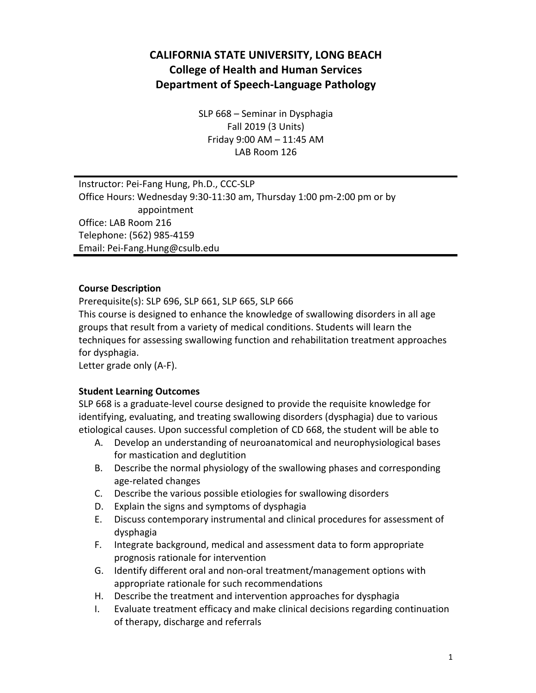# **CALIFORNIA STATE UNIVERSITY, LONG BEACH College of Health and Human Services Department of Speech-Language Pathology**

SLP 668 – Seminar in Dysphagia Fall 2019 (3 Units) Friday 9:00 AM – 11:45 AM LAB Room 126

Instructor: Pei-Fang Hung, Ph.D., CCC-SLP Office Hours: Wednesday 9:30-11:30 am, Thursday 1:00 pm-2:00 pm or by appointment Office: LAB Room 216 Telephone: (562) 985-4159 Email: Pei-Fang.Hung@csulb.edu

#### **Course Description**

Prerequisite(s): SLP 696, SLP 661, SLP 665, SLP 666

This course is designed to enhance the knowledge of swallowing disorders in all age groups that result from a variety of medical conditions. Students will learn the techniques for assessing swallowing function and rehabilitation treatment approaches for dysphagia.

Letter grade only (A-F).

#### **Student Learning Outcomes**

SLP 668 is a graduate-level course designed to provide the requisite knowledge for identifying, evaluating, and treating swallowing disorders (dysphagia) due to various etiological causes. Upon successful completion of CD 668, the student will be able to

- A. Develop an understanding of neuroanatomical and neurophysiological bases for mastication and deglutition
- B. Describe the normal physiology of the swallowing phases and corresponding age-related changes
- C. Describe the various possible etiologies for swallowing disorders
- D. Explain the signs and symptoms of dysphagia
- E. Discuss contemporary instrumental and clinical procedures for assessment of dysphagia
- F. Integrate background, medical and assessment data to form appropriate prognosis rationale for intervention
- G. Identify different oral and non-oral treatment/management options with appropriate rationale for such recommendations
- H. Describe the treatment and intervention approaches for dysphagia
- I. Evaluate treatment efficacy and make clinical decisions regarding continuation of therapy, discharge and referrals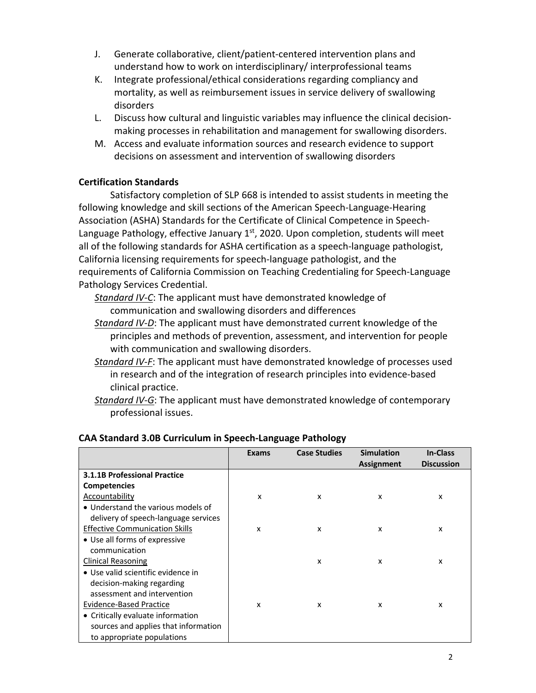- J. Generate collaborative, client/patient-centered intervention plans and understand how to work on interdisciplinary/ interprofessional teams
- K. Integrate professional/ethical considerations regarding compliancy and mortality, as well as reimbursement issues in service delivery of swallowing disorders
- L. Discuss how cultural and linguistic variables may influence the clinical decisionmaking processes in rehabilitation and management for swallowing disorders.
- M. Access and evaluate information sources and research evidence to support decisions on assessment and intervention of swallowing disorders

### **Certification Standards**

Satisfactory completion of SLP 668 is intended to assist students in meeting the following knowledge and skill sections of the American Speech-Language-Hearing Association (ASHA) Standards for the Certificate of Clinical Competence in Speech-Language Pathology, effective January  $1<sup>st</sup>$ , 2020. Upon completion, students will meet all of the following standards for ASHA certification as a speech-language pathologist, California licensing requirements for speech-language pathologist, and the requirements of California Commission on Teaching Credentialing for Speech-Language Pathology Services Credential.

*Standard IV-C*: The applicant must have demonstrated knowledge of communication and swallowing disorders and differences

- *Standard IV-D*: The applicant must have demonstrated current knowledge of the principles and methods of prevention, assessment, and intervention for people with communication and swallowing disorders.
- *Standard IV-F*: The applicant must have demonstrated knowledge of processes used in research and of the integration of research principles into evidence-based clinical practice.
- *Standard IV-G*: The applicant must have demonstrated knowledge of contemporary professional issues.

|                                       | Exams | <b>Case Studies</b> | <b>Simulation</b> | In-Class          |
|---------------------------------------|-------|---------------------|-------------------|-------------------|
|                                       |       |                     | <b>Assignment</b> | <b>Discussion</b> |
| <b>3.1.1B Professional Practice</b>   |       |                     |                   |                   |
| <b>Competencies</b>                   |       |                     |                   |                   |
| Accountability                        | x     | x                   | x                 | x                 |
| • Understand the various models of    |       |                     |                   |                   |
| delivery of speech-language services  |       |                     |                   |                   |
| <b>Effective Communication Skills</b> | x     | x                   | X                 | x                 |
| • Use all forms of expressive         |       |                     |                   |                   |
| communication                         |       |                     |                   |                   |
| Clinical Reasoning                    |       | X                   | X                 | x                 |
| • Use valid scientific evidence in    |       |                     |                   |                   |
| decision-making regarding             |       |                     |                   |                   |
| assessment and intervention           |       |                     |                   |                   |
| Evidence-Based Practice               | x     | x                   | x                 | x                 |
| • Critically evaluate information     |       |                     |                   |                   |
| sources and applies that information  |       |                     |                   |                   |
| to appropriate populations            |       |                     |                   |                   |

# **CAA Standard 3.0B Curriculum in Speech-Language Pathology**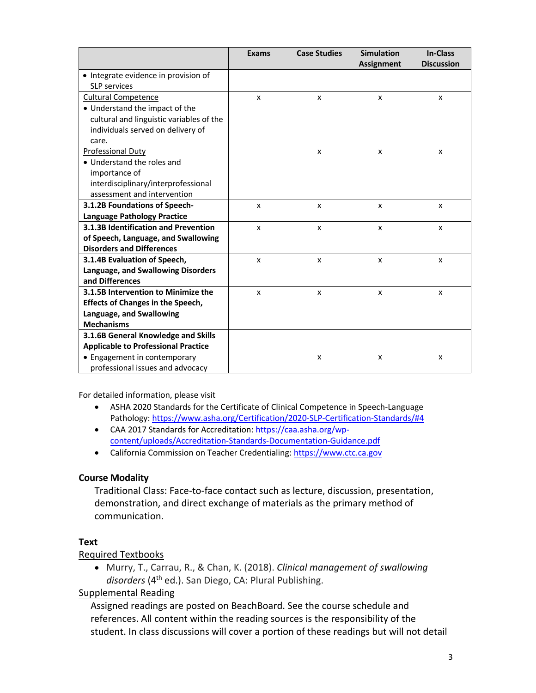|                                            | <b>Exams</b>              | <b>Case Studies</b>       | <b>Simulation</b> | <b>In-Class</b><br><b>Discussion</b> |
|--------------------------------------------|---------------------------|---------------------------|-------------------|--------------------------------------|
| • Integrate evidence in provision of       |                           |                           | <b>Assignment</b> |                                      |
| <b>SLP</b> services                        |                           |                           |                   |                                      |
| <b>Cultural Competence</b>                 | X                         | X                         | X                 | X                                    |
| • Understand the impact of the             |                           |                           |                   |                                      |
| cultural and linguistic variables of the   |                           |                           |                   |                                      |
| individuals served on delivery of          |                           |                           |                   |                                      |
| care.                                      |                           |                           |                   |                                      |
| <b>Professional Duty</b>                   |                           | X                         | X                 | x                                    |
| • Understand the roles and                 |                           |                           |                   |                                      |
| importance of                              |                           |                           |                   |                                      |
| interdisciplinary/interprofessional        |                           |                           |                   |                                      |
| assessment and intervention                |                           |                           |                   |                                      |
| 3.1.2B Foundations of Speech-              | $\boldsymbol{\mathsf{x}}$ | $\boldsymbol{\mathsf{x}}$ | X                 | x                                    |
| <b>Language Pathology Practice</b>         |                           |                           |                   |                                      |
| 3.1.3B Identification and Prevention       | X                         | X                         | X                 | X                                    |
| of Speech, Language, and Swallowing        |                           |                           |                   |                                      |
| <b>Disorders and Differences</b>           |                           |                           |                   |                                      |
| 3.1.4B Evaluation of Speech,               | $\boldsymbol{\mathsf{x}}$ | X                         | X                 | X                                    |
| Language, and Swallowing Disorders         |                           |                           |                   |                                      |
| and Differences                            |                           |                           |                   |                                      |
| 3.1.5B Intervention to Minimize the        | X                         | X                         | X                 | X                                    |
| <b>Effects of Changes in the Speech,</b>   |                           |                           |                   |                                      |
| Language, and Swallowing                   |                           |                           |                   |                                      |
| <b>Mechanisms</b>                          |                           |                           |                   |                                      |
| 3.1.6B General Knowledge and Skills        |                           |                           |                   |                                      |
| <b>Applicable to Professional Practice</b> |                           |                           |                   |                                      |
| • Engagement in contemporary               |                           | x                         | x                 | x                                    |
| professional issues and advocacy           |                           |                           |                   |                                      |

For detailed information, please visit

- ASHA 2020 Standards for the Certificate of Clinical Competence in Speech-Language Pathology: https://www.asha.org/Certification/2020-SLP-Certification-Standards/#4
- CAA 2017 Standards for Accreditation: https://caa.asha.org/wpcontent/uploads/Accreditation-Standards-Documentation-Guidance.pdf
- California Commission on Teacher Credentialing: https://www.ctc.ca.gov

#### **Course Modality**

Traditional Class: Face-to-face contact such as lecture, discussion, presentation, demonstration, and direct exchange of materials as the primary method of communication.

#### **Text**

#### Required Textbooks

• Murry, T., Carrau, R., & Chan, K. (2018). *Clinical management of swallowing*  disorders (4<sup>th</sup> ed.). San Diego, CA: Plural Publishing.

### Supplemental Reading

Assigned readings are posted on BeachBoard. See the course schedule and references. All content within the reading sources is the responsibility of the student. In class discussions will cover a portion of these readings but will not detail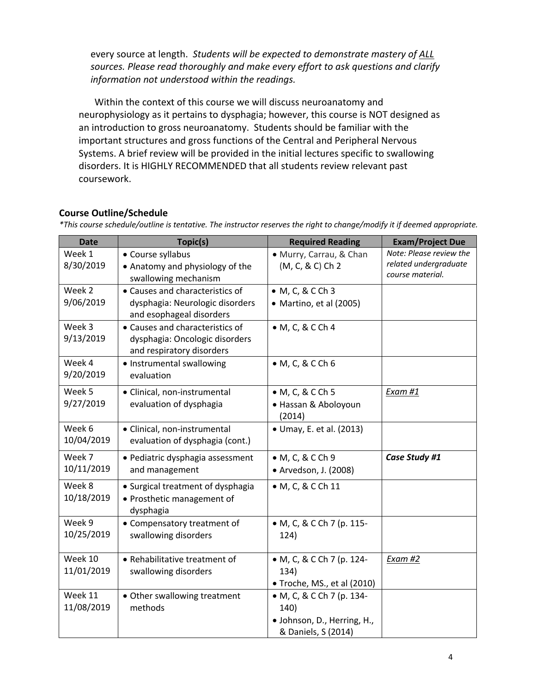every source at length.*Students will be expected to demonstrate mastery of ALL sources. Please read thoroughly and make every effort to ask questions and clarify information not understood within the readings.* 

Within the context of this course we will discuss neuroanatomy and neurophysiology as it pertains to dysphagia; however, this course is NOT designed as an introduction to gross neuroanatomy. Students should be familiar with the important structures and gross functions of the Central and Peripheral Nervous Systems. A brief review will be provided in the initial lectures specific to swallowing disorders. It is HIGHLY RECOMMENDED that all students review relevant past coursework.

#### **Course Outline/Schedule**

*\*This course schedule/outline is tentative. The instructor reserves the right to change/modify it if deemed appropriate.*

| <b>Date</b>           | Topic(s)                                                                                       | <b>Required Reading</b>                                                                 | <b>Exam/Project Due</b>                                              |
|-----------------------|------------------------------------------------------------------------------------------------|-----------------------------------------------------------------------------------------|----------------------------------------------------------------------|
| Week 1<br>8/30/2019   | • Course syllabus<br>• Anatomy and physiology of the<br>swallowing mechanism                   | · Murry, Carrau, & Chan<br>(M, C, & C) Ch 2                                             | Note: Please review the<br>related undergraduate<br>course material. |
| Week 2<br>9/06/2019   | • Causes and characteristics of<br>dysphagia: Neurologic disorders<br>and esophageal disorders | • M, C, & C Ch 3<br>• Martino, et al (2005)                                             |                                                                      |
| Week 3<br>9/13/2019   | • Causes and characteristics of<br>dysphagia: Oncologic disorders<br>and respiratory disorders | • M, C, & C Ch 4                                                                        |                                                                      |
| Week 4<br>9/20/2019   | • Instrumental swallowing<br>evaluation                                                        | • M, C, & C Ch 6                                                                        |                                                                      |
| Week 5<br>9/27/2019   | · Clinical, non-instrumental<br>evaluation of dysphagia                                        | • M, C, & C Ch 5<br>· Hassan & Aboloyoun<br>(2014)                                      | <b>Exam #1</b>                                                       |
| Week 6<br>10/04/2019  | · Clinical, non-instrumental<br>evaluation of dysphagia (cont.)                                | • Umay, E. et al. (2013)                                                                |                                                                      |
| Week 7<br>10/11/2019  | · Pediatric dysphagia assessment<br>and management                                             | • M, C, & C Ch 9<br>• Arvedson, J. (2008)                                               | Case Study #1                                                        |
| Week 8<br>10/18/2019  | • Surgical treatment of dysphagia<br>• Prosthetic management of<br>dysphagia                   | • M, C, & C Ch 11                                                                       |                                                                      |
| Week 9<br>10/25/2019  | • Compensatory treatment of<br>swallowing disorders                                            | • M, C, & C Ch 7 (p. 115-<br>124)                                                       |                                                                      |
| Week 10<br>11/01/2019 | • Rehabilitative treatment of<br>swallowing disorders                                          | • M, C, & C Ch 7 (p. 124-<br>134)<br>• Troche, MS., et al (2010)                        | Exam #2                                                              |
| Week 11<br>11/08/2019 | • Other swallowing treatment<br>methods                                                        | • M, C, & C Ch 7 (p. 134-<br>140)<br>· Johnson, D., Herring, H.,<br>& Daniels, S (2014) |                                                                      |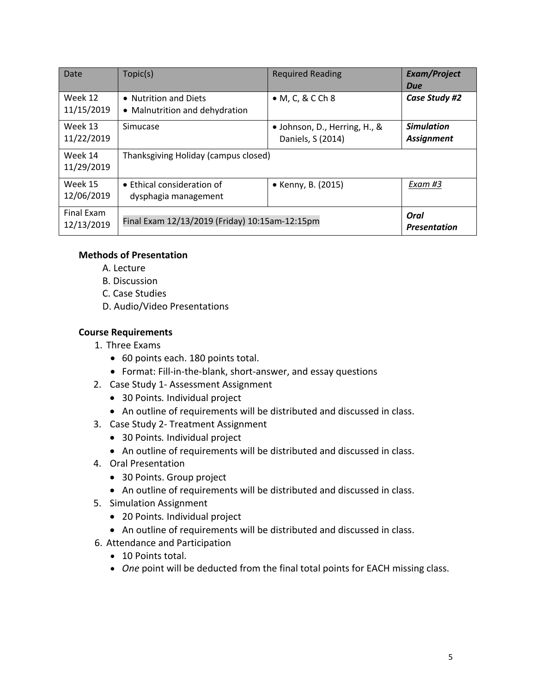| Date                     | Topic(s)                                                                      | <b>Required Reading</b>                            | <b>Exam/Project</b><br>Due             |
|--------------------------|-------------------------------------------------------------------------------|----------------------------------------------------|----------------------------------------|
| Week 12<br>11/15/2019    | • Nutrition and Diets<br>• Malnutrition and dehydration                       | $\bullet$ M, C, & C Ch 8                           | Case Study #2                          |
| Week 13<br>11/22/2019    | Simucase                                                                      | • Johnson, D., Herring, H., &<br>Daniels, S (2014) | <b>Simulation</b><br><b>Assignment</b> |
| Week 14<br>11/29/2019    | Thanksgiving Holiday (campus closed)                                          |                                                    |                                        |
| Week 15<br>12/06/2019    | • Ethical consideration of<br>dysphagia management                            | • Kenny, B. (2015)                                 | Exam #3                                |
| Final Exam<br>12/13/2019 | Oral<br>Final Exam 12/13/2019 (Friday) 10:15am-12:15pm<br><b>Presentation</b> |                                                    |                                        |

#### **Methods of Presentation**

- A. Lecture
- B. Discussion
- C. Case Studies
- D. Audio/Video Presentations

#### **Course Requirements**

- 1. Three Exams
	- 60 points each. 180 points total.
	- Format: Fill-in-the-blank, short-answer, and essay questions
- 2. Case Study 1- Assessment Assignment
	- 30 Points*.* Individual project
	- An outline of requirements will be distributed and discussed in class.
- 3. Case Study 2- Treatment Assignment
	- 30 Points*.* Individual project
	- An outline of requirements will be distributed and discussed in class.
- 4. Oral Presentation
	- 30 Points. Group project
	- An outline of requirements will be distributed and discussed in class.
- 5. Simulation Assignment
	- 20 Points*.* Individual project
	- An outline of requirements will be distributed and discussed in class.
- 6. Attendance and Participation
	- 10 Points total.
	- *One* point will be deducted from the final total points for EACH missing class.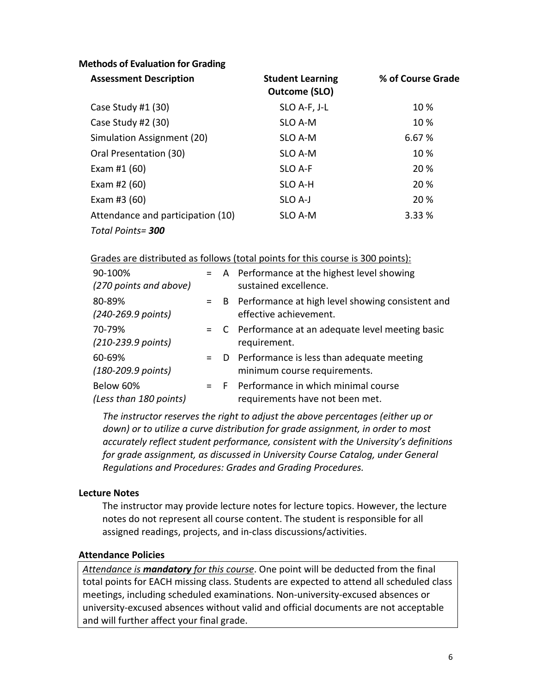### **Methods of Evaluation for Grading**

| <b>Assessment Description</b>     | <b>Student Learning</b><br>Outcome (SLO) | % of Course Grade |
|-----------------------------------|------------------------------------------|-------------------|
| Case Study #1 (30)                | SLO A-F, J-L                             | 10 %              |
| Case Study #2 (30)                | SLO A-M                                  | 10%               |
| Simulation Assignment (20)        | SLO A-M                                  | 6.67%             |
| Oral Presentation (30)            | SLO A-M                                  | 10%               |
| Exam #1 $(60)$                    | SLO A-F                                  | 20 %              |
| Exam #2 (60)                      | SLO A-H                                  | 20 %              |
| Exam #3 $(60)$                    | SLO A-J                                  | 20 %              |
| Attendance and participation (10) | SLO A-M                                  | 3.33 %            |
| Total Points= 300                 |                                          |                   |

Grades are distributed as follows (total points for this course is 300 points):

| 90-100%<br>(270 points and above)        |       | = A Performance at the highest level showing<br>sustained excellence.           |
|------------------------------------------|-------|---------------------------------------------------------------------------------|
| 80-89%<br>(240-269.9 points)             |       | = B Performance at high level showing consistent and<br>effective achievement.  |
| 70-79%<br>$(210 - 239.9 \text{ points})$ |       | = C Performance at an adequate level meeting basic<br>requirement.              |
| 60-69%<br>(180-209.9 points)             |       | $=$ D Performance is less than adequate meeting<br>minimum course requirements. |
| Below 60%<br>(Less than 180 points)      | $=$ F | Performance in which minimal course<br>requirements have not been met.          |

*The instructor reserves the right to adjust the above percentages (either up or down) or to utilize a curve distribution for grade assignment, in order to most accurately reflect student performance, consistent with the University's definitions for grade assignment, as discussed in University Course Catalog, under General Regulations and Procedures: Grades and Grading Procedures.*

#### **Lecture Notes**

The instructor may provide lecture notes for lecture topics. However, the lecture notes do not represent all course content. The student is responsible for all assigned readings, projects, and in-class discussions/activities.

#### **Attendance Policies**

*Attendance is mandatory for this course*. One point will be deducted from the final total points for EACH missing class. Students are expected to attend all scheduled class meetings, including scheduled examinations. Non-university-excused absences or university-excused absences without valid and official documents are not acceptable and will further affect your final grade.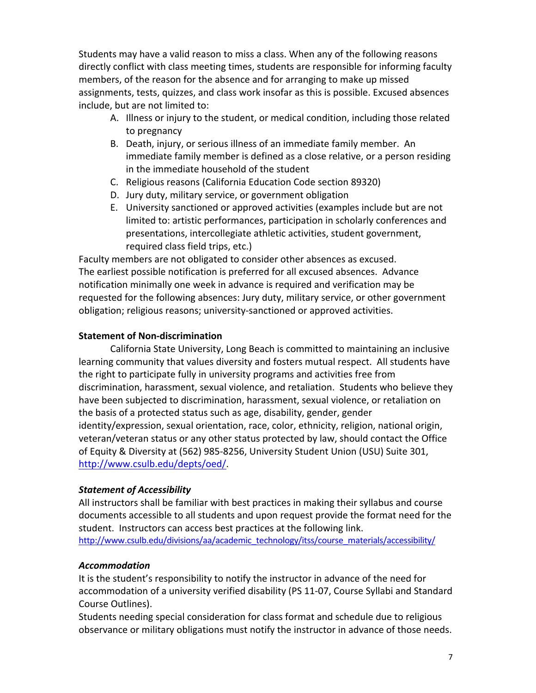Students may have a valid reason to miss a class. When any of the following reasons directly conflict with class meeting times, students are responsible for informing faculty members, of the reason for the absence and for arranging to make up missed assignments, tests, quizzes, and class work insofar as this is possible. Excused absences include, but are not limited to:

- A. Illness or injury to the student, or medical condition, including those related to pregnancy
- B. Death, injury, or serious illness of an immediate family member. An immediate family member is defined as a close relative, or a person residing in the immediate household of the student
- C. Religious reasons (California Education Code section 89320)
- D. Jury duty, military service, or government obligation
- E. University sanctioned or approved activities (examples include but are not limited to: artistic performances, participation in scholarly conferences and presentations, intercollegiate athletic activities, student government, required class field trips, etc.)

Faculty members are not obligated to consider other absences as excused. The earliest possible notification is preferred for all excused absences. Advance notification minimally one week in advance is required and verification may be requested for the following absences: Jury duty, military service, or other government obligation; religious reasons; university-sanctioned or approved activities.

### **Statement of Non-discrimination**

California State University, Long Beach is committed to maintaining an inclusive learning community that values diversity and fosters mutual respect. All students have the right to participate fully in university programs and activities free from discrimination, harassment, sexual violence, and retaliation. Students who believe they have been subjected to discrimination, harassment, sexual violence, or retaliation on the basis of a protected status such as age, disability, gender, gender identity/expression, sexual orientation, race, color, ethnicity, religion, national origin, veteran/veteran status or any other status protected by law, should contact the Office of Equity & Diversity at (562) 985-8256, University Student Union (USU) Suite 301, http://www.csulb.edu/depts/oed/.

### *Statement of Accessibility*

All instructors shall be familiar with best practices in making their syllabus and course documents accessible to all students and upon request provide the format need for the student. Instructors can access best practices at the following link. http://www.csulb.edu/divisions/aa/academic\_technology/itss/course\_materials/accessibility/

### *Accommodation*

It is the student's responsibility to notify the instructor in advance of the need for accommodation of a university verified disability (PS 11-07, Course Syllabi and Standard Course Outlines).

Students needing special consideration for class format and schedule due to religious observance or military obligations must notify the instructor in advance of those needs.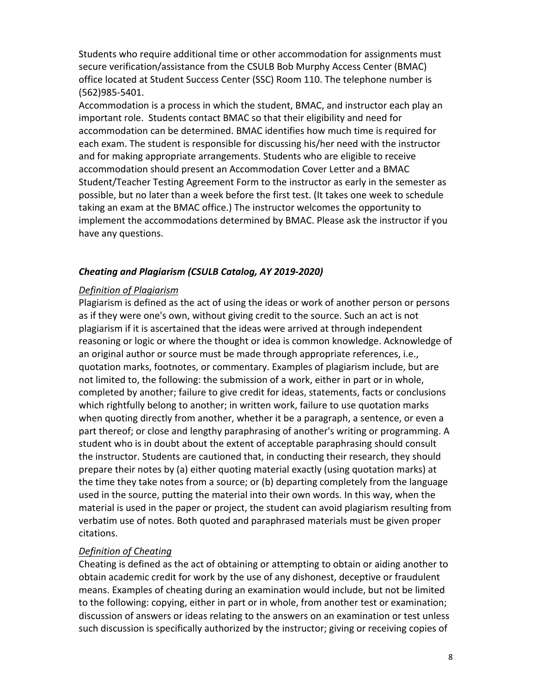Students who require additional time or other accommodation for assignments must secure verification/assistance from the CSULB Bob Murphy Access Center (BMAC) office located at Student Success Center (SSC) Room 110. The telephone number is (562)985-5401.

Accommodation is a process in which the student, BMAC, and instructor each play an important role. Students contact BMAC so that their eligibility and need for accommodation can be determined. BMAC identifies how much time is required for each exam. The student is responsible for discussing his/her need with the instructor and for making appropriate arrangements. Students who are eligible to receive accommodation should present an Accommodation Cover Letter and a BMAC Student/Teacher Testing Agreement Form to the instructor as early in the semester as possible, but no later than a week before the first test. (It takes one week to schedule taking an exam at the BMAC office.) The instructor welcomes the opportunity to implement the accommodations determined by BMAC. Please ask the instructor if you have any questions.

#### *Cheating and Plagiarism (CSULB Catalog, AY 2019-2020)*

#### *Definition of Plagiarism*

Plagiarism is defined as the act of using the ideas or work of another person or persons as if they were one's own, without giving credit to the source. Such an act is not plagiarism if it is ascertained that the ideas were arrived at through independent reasoning or logic or where the thought or idea is common knowledge. Acknowledge of an original author or source must be made through appropriate references, i.e., quotation marks, footnotes, or commentary. Examples of plagiarism include, but are not limited to, the following: the submission of a work, either in part or in whole, completed by another; failure to give credit for ideas, statements, facts or conclusions which rightfully belong to another; in written work, failure to use quotation marks when quoting directly from another, whether it be a paragraph, a sentence, or even a part thereof; or close and lengthy paraphrasing of another's writing or programming. A student who is in doubt about the extent of acceptable paraphrasing should consult the instructor. Students are cautioned that, in conducting their research, they should prepare their notes by (a) either quoting material exactly (using quotation marks) at the time they take notes from a source; or (b) departing completely from the language used in the source, putting the material into their own words. In this way, when the material is used in the paper or project, the student can avoid plagiarism resulting from verbatim use of notes. Both quoted and paraphrased materials must be given proper citations.

### *Definition of Cheating*

Cheating is defined as the act of obtaining or attempting to obtain or aiding another to obtain academic credit for work by the use of any dishonest, deceptive or fraudulent means. Examples of cheating during an examination would include, but not be limited to the following: copying, either in part or in whole, from another test or examination; discussion of answers or ideas relating to the answers on an examination or test unless such discussion is specifically authorized by the instructor; giving or receiving copies of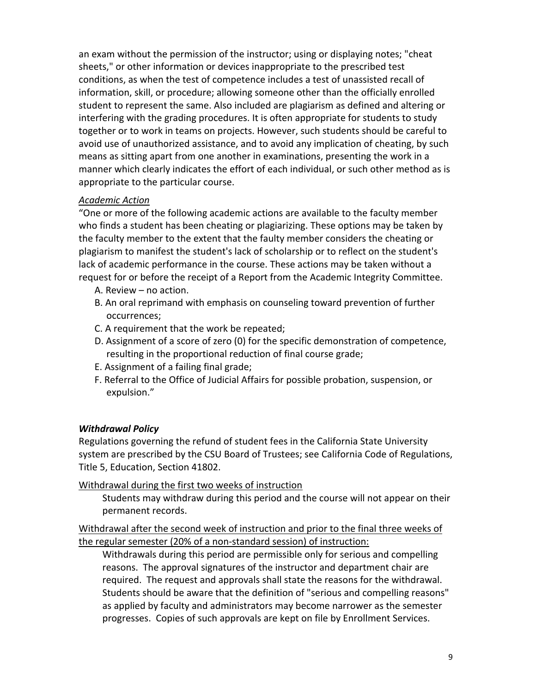an exam without the permission of the instructor; using or displaying notes; "cheat sheets," or other information or devices inappropriate to the prescribed test conditions, as when the test of competence includes a test of unassisted recall of information, skill, or procedure; allowing someone other than the officially enrolled student to represent the same. Also included are plagiarism as defined and altering or interfering with the grading procedures. It is often appropriate for students to study together or to work in teams on projects. However, such students should be careful to avoid use of unauthorized assistance, and to avoid any implication of cheating, by such means as sitting apart from one another in examinations, presenting the work in a manner which clearly indicates the effort of each individual, or such other method as is appropriate to the particular course.

### *Academic Action*

"One or more of the following academic actions are available to the faculty member who finds a student has been cheating or plagiarizing. These options may be taken by the faculty member to the extent that the faulty member considers the cheating or plagiarism to manifest the student's lack of scholarship or to reflect on the student's lack of academic performance in the course. These actions may be taken without a request for or before the receipt of a Report from the Academic Integrity Committee.

- A. Review no action.
- B. An oral reprimand with emphasis on counseling toward prevention of further occurrences;
- C. A requirement that the work be repeated;
- D. Assignment of a score of zero (0) for the specific demonstration of competence, resulting in the proportional reduction of final course grade;
- E. Assignment of a failing final grade;
- F. Referral to the Office of Judicial Affairs for possible probation, suspension, or expulsion."

# *Withdrawal Policy*

Regulations governing the refund of student fees in the California State University system are prescribed by the CSU Board of Trustees; see California Code of Regulations, Title 5, Education, Section 41802.

Withdrawal during the first two weeks of instruction

Students may withdraw during this period and the course will not appear on their permanent records.

Withdrawal after the second week of instruction and prior to the final three weeks of the regular semester (20% of a non-standard session) of instruction:

Withdrawals during this period are permissible only for serious and compelling reasons. The approval signatures of the instructor and department chair are required. The request and approvals shall state the reasons for the withdrawal. Students should be aware that the definition of "serious and compelling reasons" as applied by faculty and administrators may become narrower as the semester progresses. Copies of such approvals are kept on file by Enrollment Services.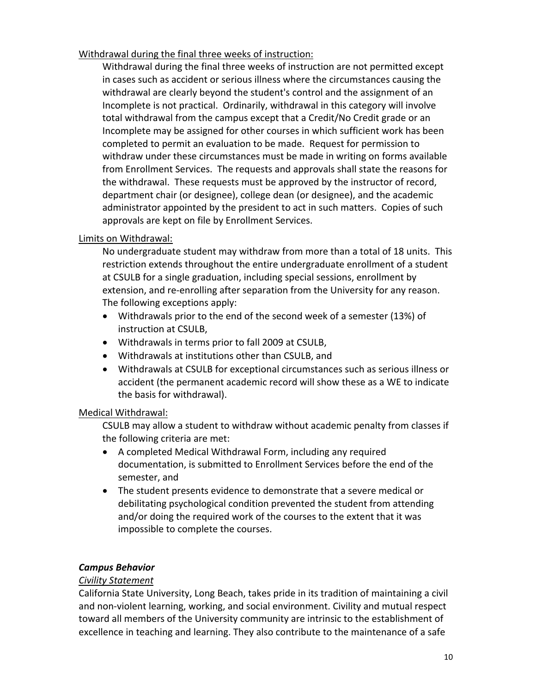Withdrawal during the final three weeks of instruction:

Withdrawal during the final three weeks of instruction are not permitted except in cases such as accident or serious illness where the circumstances causing the withdrawal are clearly beyond the student's control and the assignment of an Incomplete is not practical. Ordinarily, withdrawal in this category will involve total withdrawal from the campus except that a Credit/No Credit grade or an Incomplete may be assigned for other courses in which sufficient work has been completed to permit an evaluation to be made. Request for permission to withdraw under these circumstances must be made in writing on forms available from Enrollment Services. The requests and approvals shall state the reasons for the withdrawal. These requests must be approved by the instructor of record, department chair (or designee), college dean (or designee), and the academic administrator appointed by the president to act in such matters. Copies of such approvals are kept on file by Enrollment Services.

### Limits on Withdrawal:

No undergraduate student may withdraw from more than a total of 18 units. This restriction extends throughout the entire undergraduate enrollment of a student at CSULB for a single graduation, including special sessions, enrollment by extension, and re-enrolling after separation from the University for any reason. The following exceptions apply:

- Withdrawals prior to the end of the second week of a semester (13%) of instruction at CSULB,
- Withdrawals in terms prior to fall 2009 at CSULB,
- Withdrawals at institutions other than CSULB, and
- Withdrawals at CSULB for exceptional circumstances such as serious illness or accident (the permanent academic record will show these as a WE to indicate the basis for withdrawal).

### Medical Withdrawal:

CSULB may allow a student to withdraw without academic penalty from classes if the following criteria are met:

- A completed Medical Withdrawal Form, including any required documentation, is submitted to Enrollment Services before the end of the semester, and
- The student presents evidence to demonstrate that a severe medical or debilitating psychological condition prevented the student from attending and/or doing the required work of the courses to the extent that it was impossible to complete the courses.

### *Campus Behavior*

### *Civility Statement*

California State University, Long Beach, takes pride in its tradition of maintaining a civil and non-violent learning, working, and social environment. Civility and mutual respect toward all members of the University community are intrinsic to the establishment of excellence in teaching and learning. They also contribute to the maintenance of a safe